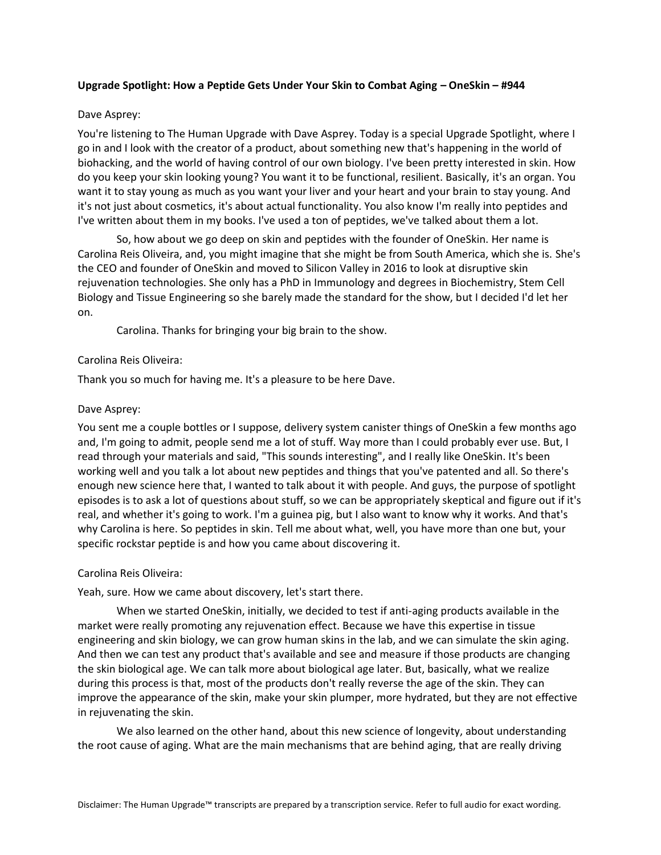# **Upgrade Spotlight: How a Peptide Gets Under Your Skin to Combat Aging – OneSkin – #944**

# Dave Asprey:

You're listening to The Human Upgrade with Dave Asprey. Today is a special Upgrade Spotlight, where I go in and I look with the creator of a product, about something new that's happening in the world of biohacking, and the world of having control of our own biology. I've been pretty interested in skin. How do you keep your skin looking young? You want it to be functional, resilient. Basically, it's an organ. You want it to stay young as much as you want your liver and your heart and your brain to stay young. And it's not just about cosmetics, it's about actual functionality. You also know I'm really into peptides and I've written about them in my books. I've used a ton of peptides, we've talked about them a lot.

So, how about we go deep on skin and peptides with the founder of OneSkin. Her name is Carolina Reis Oliveira, and, you might imagine that she might be from South America, which she is. She's the CEO and founder of OneSkin and moved to Silicon Valley in 2016 to look at disruptive skin rejuvenation technologies. She only has a PhD in Immunology and degrees in Biochemistry, Stem Cell Biology and Tissue Engineering so she barely made the standard for the show, but I decided I'd let her on.

Carolina. Thanks for bringing your big brain to the show.

# Carolina Reis Oliveira:

Thank you so much for having me. It's a pleasure to be here Dave.

# Dave Asprey:

You sent me a couple bottles or I suppose, delivery system canister things of OneSkin a few months ago and, I'm going to admit, people send me a lot of stuff. Way more than I could probably ever use. But, I read through your materials and said, "This sounds interesting", and I really like OneSkin. It's been working well and you talk a lot about new peptides and things that you've patented and all. So there's enough new science here that, I wanted to talk about it with people. And guys, the purpose of spotlight episodes is to ask a lot of questions about stuff, so we can be appropriately skeptical and figure out if it's real, and whether it's going to work. I'm a guinea pig, but I also want to know why it works. And that's why Carolina is here. So peptides in skin. Tell me about what, well, you have more than one but, your specific rockstar peptide is and how you came about discovering it.

# Carolina Reis Oliveira:

Yeah, sure. How we came about discovery, let's start there.

When we started OneSkin, initially, we decided to test if anti-aging products available in the market were really promoting any rejuvenation effect. Because we have this expertise in tissue engineering and skin biology, we can grow human skins in the lab, and we can simulate the skin aging. And then we can test any product that's available and see and measure if those products are changing the skin biological age. We can talk more about biological age later. But, basically, what we realize during this process is that, most of the products don't really reverse the age of the skin. They can improve the appearance of the skin, make your skin plumper, more hydrated, but they are not effective in rejuvenating the skin.

We also learned on the other hand, about this new science of longevity, about understanding the root cause of aging. What are the main mechanisms that are behind aging, that are really driving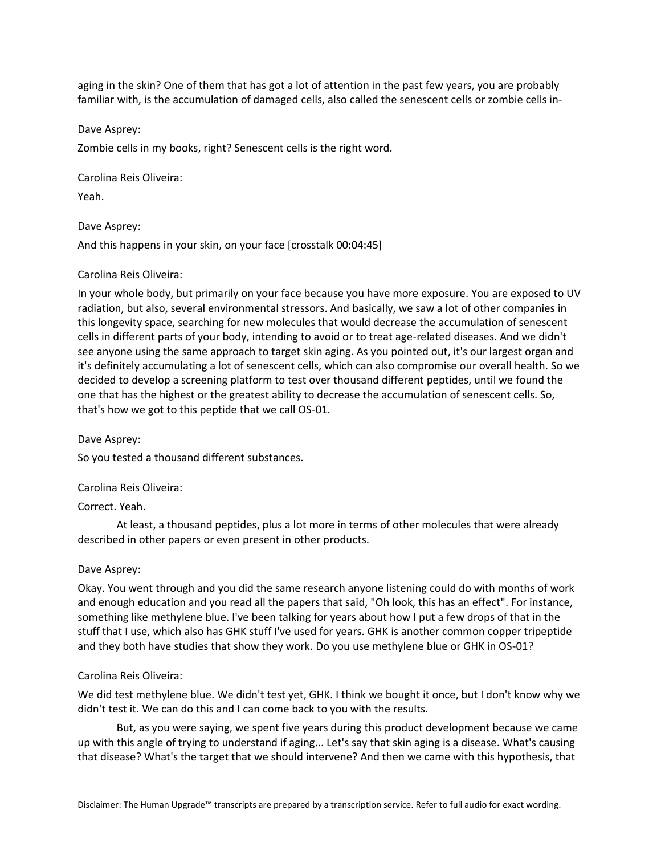aging in the skin? One of them that has got a lot of attention in the past few years, you are probably familiar with, is the accumulation of damaged cells, also called the senescent cells or zombie cells in-

Dave Asprey:

Zombie cells in my books, right? Senescent cells is the right word.

Carolina Reis Oliveira:

Yeah.

Dave Asprey:

And this happens in your skin, on your face [crosstalk 00:04:45]

## Carolina Reis Oliveira:

In your whole body, but primarily on your face because you have more exposure. You are exposed to UV radiation, but also, several environmental stressors. And basically, we saw a lot of other companies in this longevity space, searching for new molecules that would decrease the accumulation of senescent cells in different parts of your body, intending to avoid or to treat age-related diseases. And we didn't see anyone using the same approach to target skin aging. As you pointed out, it's our largest organ and it's definitely accumulating a lot of senescent cells, which can also compromise our overall health. So we decided to develop a screening platform to test over thousand different peptides, until we found the one that has the highest or the greatest ability to decrease the accumulation of senescent cells. So, that's how we got to this peptide that we call OS-01.

Dave Asprey:

So you tested a thousand different substances.

Carolina Reis Oliveira:

Correct. Yeah.

At least, a thousand peptides, plus a lot more in terms of other molecules that were already described in other papers or even present in other products.

#### Dave Asprey:

Okay. You went through and you did the same research anyone listening could do with months of work and enough education and you read all the papers that said, "Oh look, this has an effect". For instance, something like methylene blue. I've been talking for years about how I put a few drops of that in the stuff that I use, which also has GHK stuff I've used for years. GHK is another common copper tripeptide and they both have studies that show they work. Do you use methylene blue or GHK in OS-01?

#### Carolina Reis Oliveira:

We did test methylene blue. We didn't test yet, GHK. I think we bought it once, but I don't know why we didn't test it. We can do this and I can come back to you with the results.

But, as you were saying, we spent five years during this product development because we came up with this angle of trying to understand if aging... Let's say that skin aging is a disease. What's causing that disease? What's the target that we should intervene? And then we came with this hypothesis, that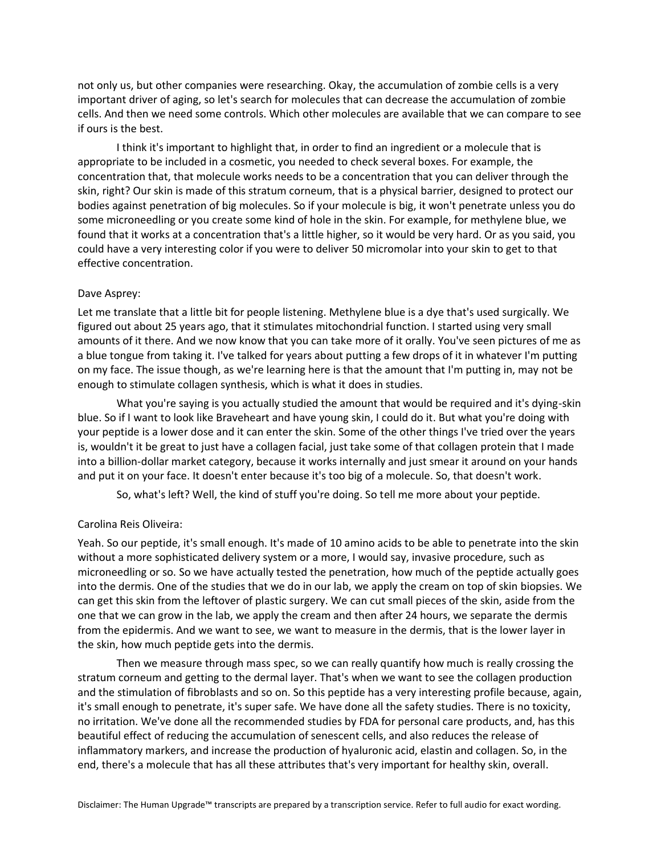not only us, but other companies were researching. Okay, the accumulation of zombie cells is a very important driver of aging, so let's search for molecules that can decrease the accumulation of zombie cells. And then we need some controls. Which other molecules are available that we can compare to see if ours is the best.

I think it's important to highlight that, in order to find an ingredient or a molecule that is appropriate to be included in a cosmetic, you needed to check several boxes. For example, the concentration that, that molecule works needs to be a concentration that you can deliver through the skin, right? Our skin is made of this stratum corneum, that is a physical barrier, designed to protect our bodies against penetration of big molecules. So if your molecule is big, it won't penetrate unless you do some microneedling or you create some kind of hole in the skin. For example, for methylene blue, we found that it works at a concentration that's a little higher, so it would be very hard. Or as you said, you could have a very interesting color if you were to deliver 50 micromolar into your skin to get to that effective concentration.

# Dave Asprey:

Let me translate that a little bit for people listening. Methylene blue is a dye that's used surgically. We figured out about 25 years ago, that it stimulates mitochondrial function. I started using very small amounts of it there. And we now know that you can take more of it orally. You've seen pictures of me as a blue tongue from taking it. I've talked for years about putting a few drops of it in whatever I'm putting on my face. The issue though, as we're learning here is that the amount that I'm putting in, may not be enough to stimulate collagen synthesis, which is what it does in studies.

What you're saying is you actually studied the amount that would be required and it's dying-skin blue. So if I want to look like Braveheart and have young skin, I could do it. But what you're doing with your peptide is a lower dose and it can enter the skin. Some of the other things I've tried over the years is, wouldn't it be great to just have a collagen facial, just take some of that collagen protein that I made into a billion-dollar market category, because it works internally and just smear it around on your hands and put it on your face. It doesn't enter because it's too big of a molecule. So, that doesn't work.

So, what's left? Well, the kind of stuff you're doing. So tell me more about your peptide.

# Carolina Reis Oliveira:

Yeah. So our peptide, it's small enough. It's made of 10 amino acids to be able to penetrate into the skin without a more sophisticated delivery system or a more, I would say, invasive procedure, such as microneedling or so. So we have actually tested the penetration, how much of the peptide actually goes into the dermis. One of the studies that we do in our lab, we apply the cream on top of skin biopsies. We can get this skin from the leftover of plastic surgery. We can cut small pieces of the skin, aside from the one that we can grow in the lab, we apply the cream and then after 24 hours, we separate the dermis from the epidermis. And we want to see, we want to measure in the dermis, that is the lower layer in the skin, how much peptide gets into the dermis.

Then we measure through mass spec, so we can really quantify how much is really crossing the stratum corneum and getting to the dermal layer. That's when we want to see the collagen production and the stimulation of fibroblasts and so on. So this peptide has a very interesting profile because, again, it's small enough to penetrate, it's super safe. We have done all the safety studies. There is no toxicity, no irritation. We've done all the recommended studies by FDA for personal care products, and, has this beautiful effect of reducing the accumulation of senescent cells, and also reduces the release of inflammatory markers, and increase the production of hyaluronic acid, elastin and collagen. So, in the end, there's a molecule that has all these attributes that's very important for healthy skin, overall.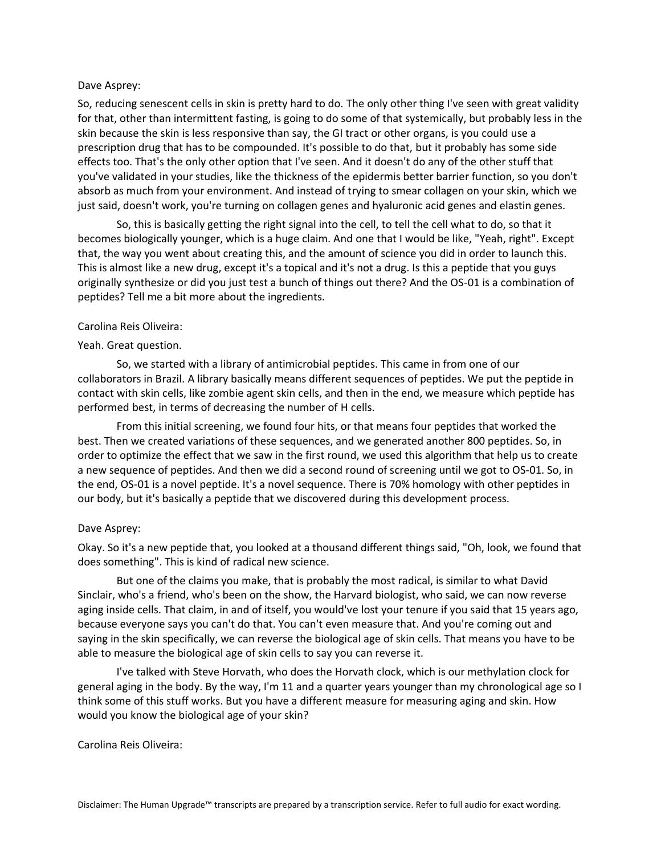## Dave Asprey:

So, reducing senescent cells in skin is pretty hard to do. The only other thing I've seen with great validity for that, other than intermittent fasting, is going to do some of that systemically, but probably less in the skin because the skin is less responsive than say, the GI tract or other organs, is you could use a prescription drug that has to be compounded. It's possible to do that, but it probably has some side effects too. That's the only other option that I've seen. And it doesn't do any of the other stuff that you've validated in your studies, like the thickness of the epidermis better barrier function, so you don't absorb as much from your environment. And instead of trying to smear collagen on your skin, which we just said, doesn't work, you're turning on collagen genes and hyaluronic acid genes and elastin genes.

So, this is basically getting the right signal into the cell, to tell the cell what to do, so that it becomes biologically younger, which is a huge claim. And one that I would be like, "Yeah, right". Except that, the way you went about creating this, and the amount of science you did in order to launch this. This is almost like a new drug, except it's a topical and it's not a drug. Is this a peptide that you guys originally synthesize or did you just test a bunch of things out there? And the OS-01 is a combination of peptides? Tell me a bit more about the ingredients.

## Carolina Reis Oliveira:

## Yeah. Great question.

So, we started with a library of antimicrobial peptides. This came in from one of our collaborators in Brazil. A library basically means different sequences of peptides. We put the peptide in contact with skin cells, like zombie agent skin cells, and then in the end, we measure which peptide has performed best, in terms of decreasing the number of H cells.

From this initial screening, we found four hits, or that means four peptides that worked the best. Then we created variations of these sequences, and we generated another 800 peptides. So, in order to optimize the effect that we saw in the first round, we used this algorithm that help us to create a new sequence of peptides. And then we did a second round of screening until we got to OS-01. So, in the end, OS-01 is a novel peptide. It's a novel sequence. There is 70% homology with other peptides in our body, but it's basically a peptide that we discovered during this development process.

# Dave Asprey:

Okay. So it's a new peptide that, you looked at a thousand different things said, "Oh, look, we found that does something". This is kind of radical new science.

But one of the claims you make, that is probably the most radical, is similar to what David Sinclair, who's a friend, who's been on the show, the Harvard biologist, who said, we can now reverse aging inside cells. That claim, in and of itself, you would've lost your tenure if you said that 15 years ago, because everyone says you can't do that. You can't even measure that. And you're coming out and saying in the skin specifically, we can reverse the biological age of skin cells. That means you have to be able to measure the biological age of skin cells to say you can reverse it.

I've talked with Steve Horvath, who does the Horvath clock, which is our methylation clock for general aging in the body. By the way, I'm 11 and a quarter years younger than my chronological age so I think some of this stuff works. But you have a different measure for measuring aging and skin. How would you know the biological age of your skin?

Carolina Reis Oliveira: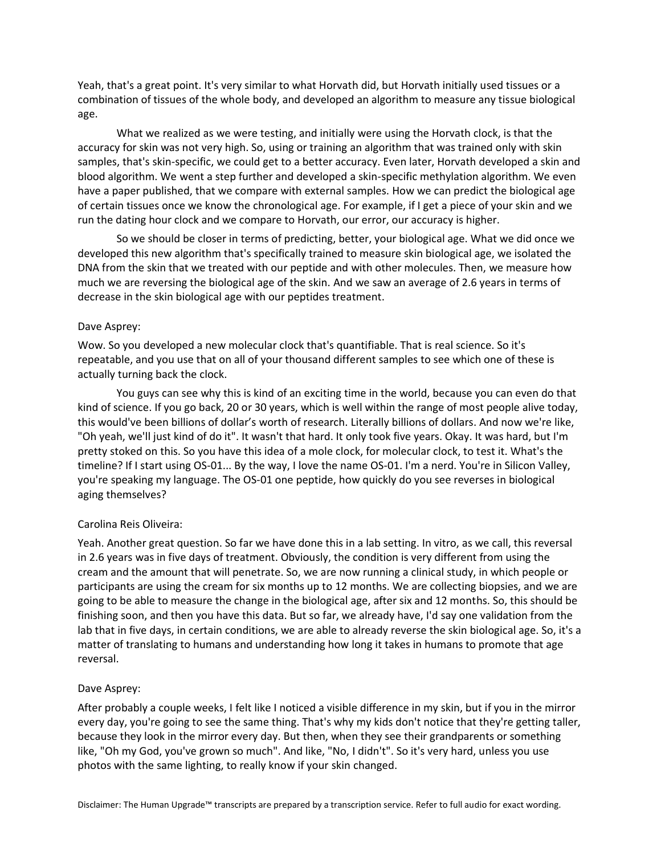Yeah, that's a great point. It's very similar to what Horvath did, but Horvath initially used tissues or a combination of tissues of the whole body, and developed an algorithm to measure any tissue biological age.

What we realized as we were testing, and initially were using the Horvath clock, is that the accuracy for skin was not very high. So, using or training an algorithm that was trained only with skin samples, that's skin-specific, we could get to a better accuracy. Even later, Horvath developed a skin and blood algorithm. We went a step further and developed a skin-specific methylation algorithm. We even have a paper published, that we compare with external samples. How we can predict the biological age of certain tissues once we know the chronological age. For example, if I get a piece of your skin and we run the dating hour clock and we compare to Horvath, our error, our accuracy is higher.

So we should be closer in terms of predicting, better, your biological age. What we did once we developed this new algorithm that's specifically trained to measure skin biological age, we isolated the DNA from the skin that we treated with our peptide and with other molecules. Then, we measure how much we are reversing the biological age of the skin. And we saw an average of 2.6 years in terms of decrease in the skin biological age with our peptides treatment.

## Dave Asprey:

Wow. So you developed a new molecular clock that's quantifiable. That is real science. So it's repeatable, and you use that on all of your thousand different samples to see which one of these is actually turning back the clock.

You guys can see why this is kind of an exciting time in the world, because you can even do that kind of science. If you go back, 20 or 30 years, which is well within the range of most people alive today, this would've been billions of dollar's worth of research. Literally billions of dollars. And now we're like, "Oh yeah, we'll just kind of do it". It wasn't that hard. It only took five years. Okay. It was hard, but I'm pretty stoked on this. So you have this idea of a mole clock, for molecular clock, to test it. What's the timeline? If I start using OS-01... By the way, I love the name OS-01. I'm a nerd. You're in Silicon Valley, you're speaking my language. The OS-01 one peptide, how quickly do you see reverses in biological aging themselves?

# Carolina Reis Oliveira:

Yeah. Another great question. So far we have done this in a lab setting. In vitro, as we call, this reversal in 2.6 years was in five days of treatment. Obviously, the condition is very different from using the cream and the amount that will penetrate. So, we are now running a clinical study, in which people or participants are using the cream for six months up to 12 months. We are collecting biopsies, and we are going to be able to measure the change in the biological age, after six and 12 months. So, this should be finishing soon, and then you have this data. But so far, we already have, I'd say one validation from the lab that in five days, in certain conditions, we are able to already reverse the skin biological age. So, it's a matter of translating to humans and understanding how long it takes in humans to promote that age reversal.

# Dave Asprey:

After probably a couple weeks, I felt like I noticed a visible difference in my skin, but if you in the mirror every day, you're going to see the same thing. That's why my kids don't notice that they're getting taller, because they look in the mirror every day. But then, when they see their grandparents or something like, "Oh my God, you've grown so much". And like, "No, I didn't". So it's very hard, unless you use photos with the same lighting, to really know if your skin changed.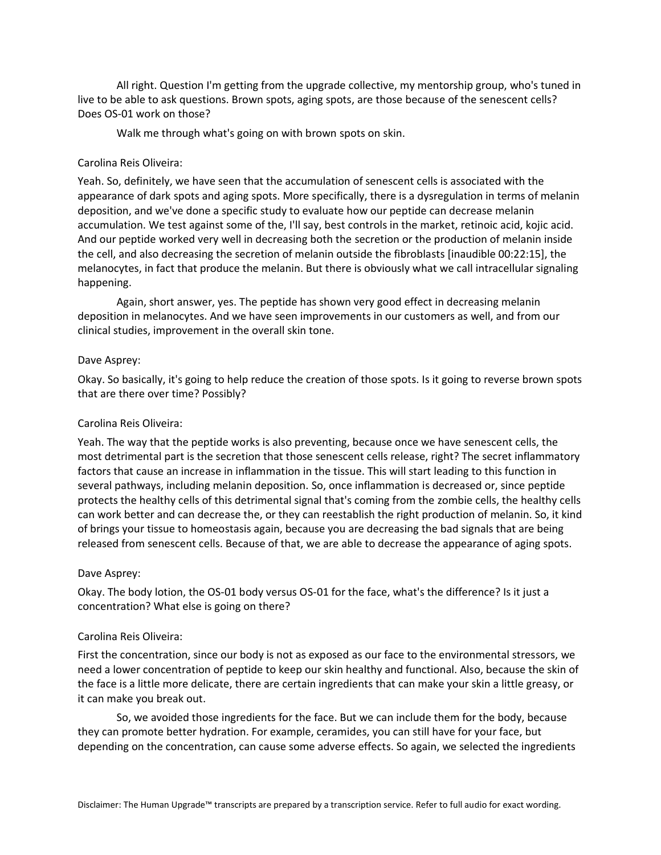All right. Question I'm getting from the upgrade collective, my mentorship group, who's tuned in live to be able to ask questions. Brown spots, aging spots, are those because of the senescent cells? Does OS-01 work on those?

Walk me through what's going on with brown spots on skin.

# Carolina Reis Oliveira:

Yeah. So, definitely, we have seen that the accumulation of senescent cells is associated with the appearance of dark spots and aging spots. More specifically, there is a dysregulation in terms of melanin deposition, and we've done a specific study to evaluate how our peptide can decrease melanin accumulation. We test against some of the, I'll say, best controls in the market, retinoic acid, kojic acid. And our peptide worked very well in decreasing both the secretion or the production of melanin inside the cell, and also decreasing the secretion of melanin outside the fibroblasts [inaudible 00:22:15], the melanocytes, in fact that produce the melanin. But there is obviously what we call intracellular signaling happening.

Again, short answer, yes. The peptide has shown very good effect in decreasing melanin deposition in melanocytes. And we have seen improvements in our customers as well, and from our clinical studies, improvement in the overall skin tone.

#### Dave Asprey:

Okay. So basically, it's going to help reduce the creation of those spots. Is it going to reverse brown spots that are there over time? Possibly?

#### Carolina Reis Oliveira:

Yeah. The way that the peptide works is also preventing, because once we have senescent cells, the most detrimental part is the secretion that those senescent cells release, right? The secret inflammatory factors that cause an increase in inflammation in the tissue. This will start leading to this function in several pathways, including melanin deposition. So, once inflammation is decreased or, since peptide protects the healthy cells of this detrimental signal that's coming from the zombie cells, the healthy cells can work better and can decrease the, or they can reestablish the right production of melanin. So, it kind of brings your tissue to homeostasis again, because you are decreasing the bad signals that are being released from senescent cells. Because of that, we are able to decrease the appearance of aging spots.

#### Dave Asprey:

Okay. The body lotion, the OS-01 body versus OS-01 for the face, what's the difference? Is it just a concentration? What else is going on there?

#### Carolina Reis Oliveira:

First the concentration, since our body is not as exposed as our face to the environmental stressors, we need a lower concentration of peptide to keep our skin healthy and functional. Also, because the skin of the face is a little more delicate, there are certain ingredients that can make your skin a little greasy, or it can make you break out.

So, we avoided those ingredients for the face. But we can include them for the body, because they can promote better hydration. For example, ceramides, you can still have for your face, but depending on the concentration, can cause some adverse effects. So again, we selected the ingredients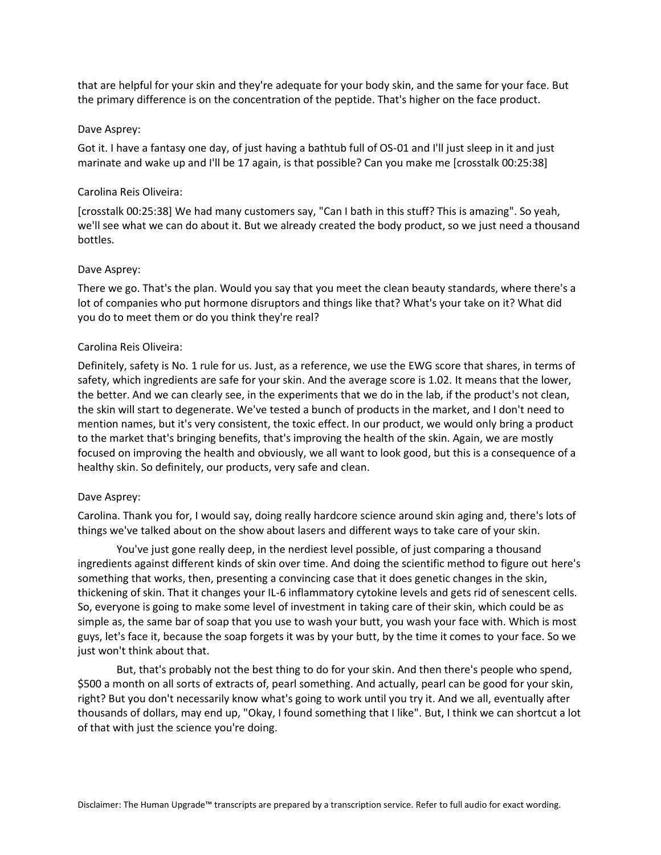that are helpful for your skin and they're adequate for your body skin, and the same for your face. But the primary difference is on the concentration of the peptide. That's higher on the face product.

## Dave Asprey:

Got it. I have a fantasy one day, of just having a bathtub full of OS-01 and I'll just sleep in it and just marinate and wake up and I'll be 17 again, is that possible? Can you make me [crosstalk 00:25:38]

# Carolina Reis Oliveira:

[crosstalk 00:25:38] We had many customers say, "Can I bath in this stuff? This is amazing". So yeah, we'll see what we can do about it. But we already created the body product, so we just need a thousand bottles.

## Dave Asprey:

There we go. That's the plan. Would you say that you meet the clean beauty standards, where there's a lot of companies who put hormone disruptors and things like that? What's your take on it? What did you do to meet them or do you think they're real?

## Carolina Reis Oliveira:

Definitely, safety is No. 1 rule for us. Just, as a reference, we use the EWG score that shares, in terms of safety, which ingredients are safe for your skin. And the average score is 1.02. It means that the lower, the better. And we can clearly see, in the experiments that we do in the lab, if the product's not clean, the skin will start to degenerate. We've tested a bunch of products in the market, and I don't need to mention names, but it's very consistent, the toxic effect. In our product, we would only bring a product to the market that's bringing benefits, that's improving the health of the skin. Again, we are mostly focused on improving the health and obviously, we all want to look good, but this is a consequence of a healthy skin. So definitely, our products, very safe and clean.

#### Dave Asprey:

Carolina. Thank you for, I would say, doing really hardcore science around skin aging and, there's lots of things we've talked about on the show about lasers and different ways to take care of your skin.

You've just gone really deep, in the nerdiest level possible, of just comparing a thousand ingredients against different kinds of skin over time. And doing the scientific method to figure out here's something that works, then, presenting a convincing case that it does genetic changes in the skin, thickening of skin. That it changes your IL-6 inflammatory cytokine levels and gets rid of senescent cells. So, everyone is going to make some level of investment in taking care of their skin, which could be as simple as, the same bar of soap that you use to wash your butt, you wash your face with. Which is most guys, let's face it, because the soap forgets it was by your butt, by the time it comes to your face. So we just won't think about that.

But, that's probably not the best thing to do for your skin. And then there's people who spend, \$500 a month on all sorts of extracts of, pearl something. And actually, pearl can be good for your skin, right? But you don't necessarily know what's going to work until you try it. And we all, eventually after thousands of dollars, may end up, "Okay, I found something that I like". But, I think we can shortcut a lot of that with just the science you're doing.